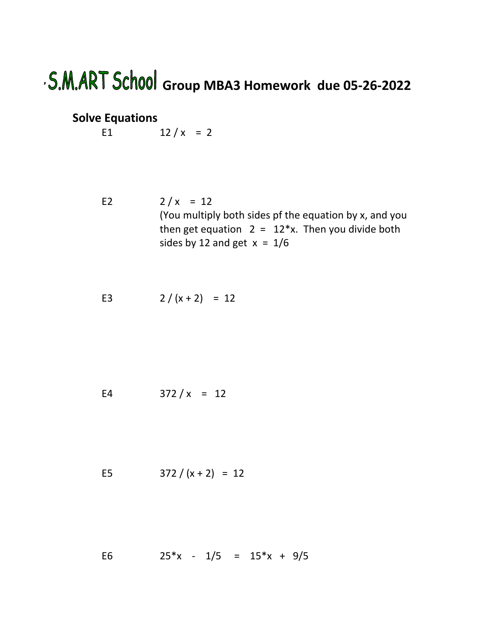## **' Group MBA3 Homework due 05-26-2022**

## **Solve Equations**

E1  $12 / x = 2$ 

- E2  $2/x = 12$ (You multiply both sides pf the equation by x, and you then get equation  $2 = 12*x$ . Then you divide both sides by 12 and get  $x = 1/6$
- E3  $2/(x+2) = 12$

E4  $372 / x = 12$ 

E5 
$$
372 / (x + 2) = 12
$$

E6  $25*x - 1/5 = 15*x + 9/5$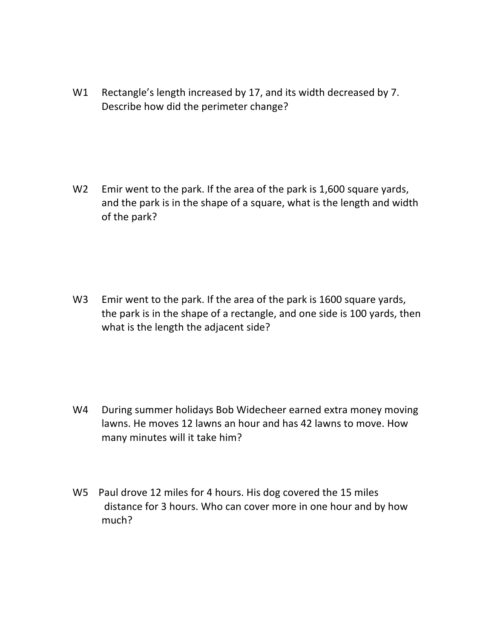W1 Rectangle's length increased by 17, and its width decreased by 7. Describe how did the perimeter change?

W2 Emir went to the park. If the area of the park is 1,600 square yards, and the park is in the shape of a square, what is the length and width of the park?

W3 Emir went to the park. If the area of the park is 1600 square yards, the park is in the shape of a rectangle, and one side is 100 yards, then what is the length the adjacent side?

- W4 During summer holidays Bob Widecheer earned extra money moving lawns. He moves 12 lawns an hour and has 42 lawns to move. How many minutes will it take him?
- W5 Paul drove 12 miles for 4 hours. His dog covered the 15 miles distance for 3 hours. Who can cover more in one hour and by how much?